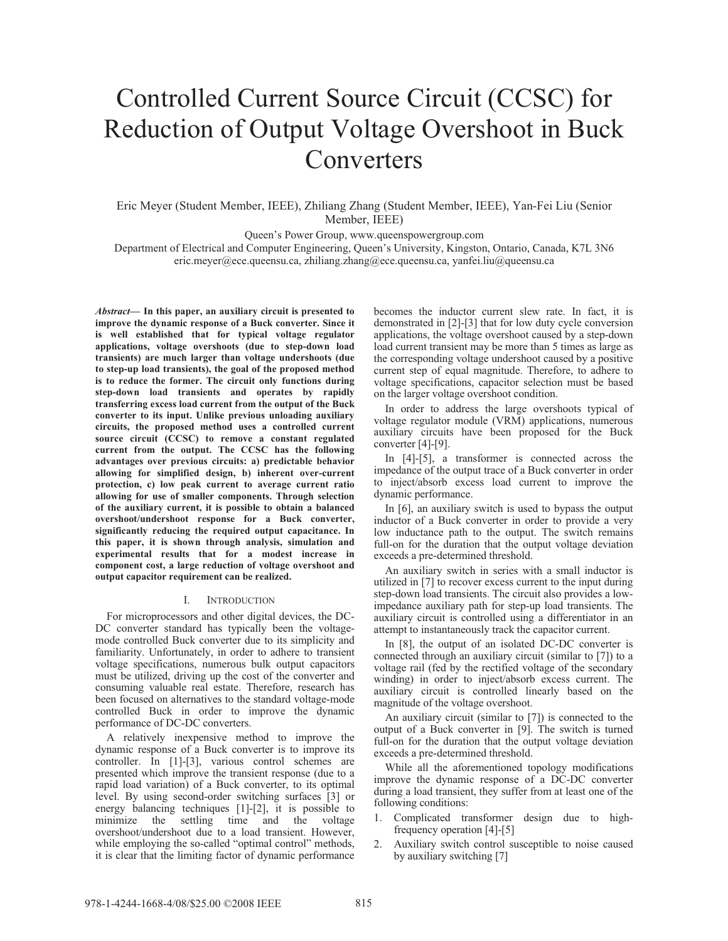# Controlled Current Source Circuit (CCSC) for Reduction of Output Voltage Overshoot in Buck Converters

Eric Meyer (Student Member, IEEE), Zhiliang Zhang (Student Member, IEEE), Yan-Fei Liu (Senior Member, IEEE)

Queen's Power Group, www.queenspowergroup.com

Department of Electrical and Computer Engineering, Queen's University, Kingston, Ontario, Canada, K7L 3N6 eric.meyer@ece.queensu.ca, zhiliang.zhang@ece.queensu.ca, yanfei.liu@queensu.ca

*Abstract*— In this paper, an auxiliary circuit is presented to **improve the dynamic response of a Buck converter. Since it is well established that for typical voltage regulator applications, voltage overshoots (due to step-down load transients) are much larger than voltage undershoots (due to step-up load transients), the goal of the proposed method is to reduce the former. The circuit only functions during step-down load transients and operates by rapidly transferring excess load current from the output of the Buck converter to its input. Unlike previous unloading auxiliary circuits, the proposed method uses a controlled current source circuit (CCSC) to remove a constant regulated current from the output. The CCSC has the following advantages over previous circuits: a) predictable behavior allowing for simplified design, b) inherent over-current protection, c) low peak current to average current ratio allowing for use of smaller components. Through selection of the auxiliary current, it is possible to obtain a balanced overshoot/undershoot response for a Buck converter, significantly reducing the required output capacitance. In this paper, it is shown through analysis, simulation and experimental results that for a modest increase in component cost, a large reduction of voltage overshoot and output capacitor requirement can be realized.** 

# I. INTRODUCTION

For microprocessors and other digital devices, the DC-DC converter standard has typically been the voltagemode controlled Buck converter due to its simplicity and familiarity. Unfortunately, in order to adhere to transient voltage specifications, numerous bulk output capacitors must be utilized, driving up the cost of the converter and consuming valuable real estate. Therefore, research has been focused on alternatives to the standard voltage-mode controlled Buck in order to improve the dynamic performance of DC-DC converters.

A relatively inexpensive method to improve the dynamic response of a Buck converter is to improve its controller. In [1]-[3], various control schemes are presented which improve the transient response (due to a rapid load variation) of a Buck converter, to its optimal level. By using second-order switching surfaces [3] or energy balancing techniques [1]-[2], it is possible to minimize the settling time and the voltage overshoot/undershoot due to a load transient. However, while employing the so-called "optimal control" methods, it is clear that the limiting factor of dynamic performance becomes the inductor current slew rate. In fact, it is demonstrated in [2]-[3] that for low duty cycle conversion applications, the voltage overshoot caused by a step-down load current transient may be more than 5 times as large as the corresponding voltage undershoot caused by a positive current step of equal magnitude. Therefore, to adhere to voltage specifications, capacitor selection must be based on the larger voltage overshoot condition.

In order to address the large overshoots typical of voltage regulator module (VRM) applications, numerous auxiliary circuits have been proposed for the Buck converter [4]-[9].

In [4]-[5], a transformer is connected across the impedance of the output trace of a Buck converter in order to inject/absorb excess load current to improve the dynamic performance.

In [6], an auxiliary switch is used to bypass the output inductor of a Buck converter in order to provide a very low inductance path to the output. The switch remains full-on for the duration that the output voltage deviation exceeds a pre-determined threshold.

An auxiliary switch in series with a small inductor is utilized in [7] to recover excess current to the input during step-down load transients. The circuit also provides a lowimpedance auxiliary path for step-up load transients. The auxiliary circuit is controlled using a differentiator in an attempt to instantaneously track the capacitor current.

In [8], the output of an isolated DC-DC converter is connected through an auxiliary circuit (similar to [7]) to a voltage rail (fed by the rectified voltage of the secondary winding) in order to inject/absorb excess current. The auxiliary circuit is controlled linearly based on the magnitude of the voltage overshoot.

An auxiliary circuit (similar to [7]) is connected to the output of a Buck converter in [9]. The switch is turned full-on for the duration that the output voltage deviation exceeds a pre-determined threshold.

While all the aforementioned topology modifications improve the dynamic response of a DC-DC converter during a load transient, they suffer from at least one of the following conditions:

- 1. Complicated transformer design due to highfrequency operation [4]-[5]
- 2. Auxiliary switch control susceptible to noise caused by auxiliary switching [7]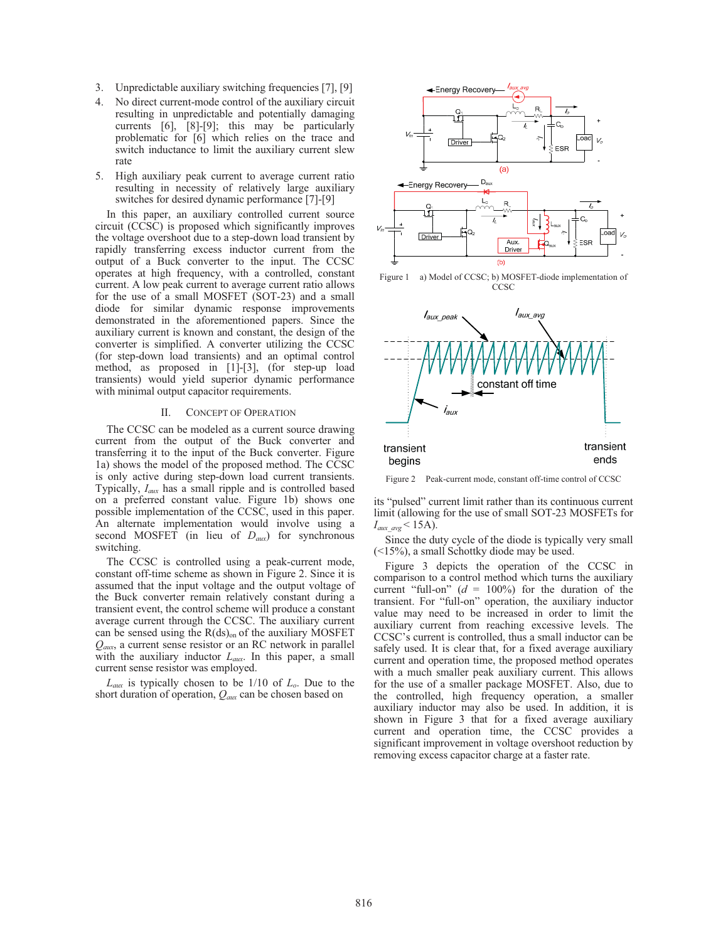- 3. Unpredictable auxiliary switching frequencies [7], [9]
- 4. No direct current-mode control of the auxiliary circuit resulting in unpredictable and potentially damaging currents [6], [8]-[9]; this may be particularly problematic for [6] which relies on the trace and switch inductance to limit the auxiliary current slew rate
- 5. High auxiliary peak current to average current ratio resulting in necessity of relatively large auxiliary switches for desired dynamic performance [7]-[9]

In this paper, an auxiliary controlled current source circuit (CCSC) is proposed which significantly improves the voltage overshoot due to a step-down load transient by rapidly transferring excess inductor current from the output of a Buck converter to the input. The CCSC operates at high frequency, with a controlled, constant current. A low peak current to average current ratio allows for the use of a small MOSFET (SOT-23) and a small diode for similar dynamic response improvements demonstrated in the aforementioned papers. Since the auxiliary current is known and constant, the design of the converter is simplified. A converter utilizing the CCSC (for step-down load transients) and an optimal control method, as proposed in [1]-[3], (for step-up load transients) would yield superior dynamic performance with minimal output capacitor requirements.

## II. CONCEPT OF OPERATION

The CCSC can be modeled as a current source drawing current from the output of the Buck converter and transferring it to the input of the Buck converter. Figure 1a) shows the model of the proposed method. The CCSC is only active during step-down load current transients. Typically, *Iaux* has a small ripple and is controlled based on a preferred constant value. Figure 1b) shows one possible implementation of the CCSC, used in this paper. An alternate implementation would involve using a second MOSFET (in lieu of *Daux*) for synchronous switching.

The CCSC is controlled using a peak-current mode, constant off-time scheme as shown in Figure 2. Since it is assumed that the input voltage and the output voltage of the Buck converter remain relatively constant during a transient event, the control scheme will produce a constant average current through the CCSC. The auxiliary current can be sensed using the  $R(ds)_{on}$  of the auxiliary MOSFET *Qaux*, a current sense resistor or an RC network in parallel with the auxiliary inductor *Laux*. In this paper, a small current sense resistor was employed.

*Laux* is typically chosen to be 1/10 of *Lo*. Due to the short duration of operation, *Qaux* can be chosen based on



Figure 1 a) Model of CCSC; b) MOSFET-diode implementation of **CCSC** 



Figure 2 Peak-current mode, constant off-time control of CCSC

its "pulsed" current limit rather than its continuous current limit (allowing for the use of small SOT-23 MOSFETs for  $I_{aux\,avg}$  < 15A).

Since the duty cycle of the diode is typically very small (<15%), a small Schottky diode may be used.

Figure 3 depicts the operation of the CCSC in comparison to a control method which turns the auxiliary current "full-on"  $(d = 100\%)$  for the duration of the transient. For "full-on" operation, the auxiliary inductor value may need to be increased in order to limit the auxiliary current from reaching excessive levels. The CCSC's current is controlled, thus a small inductor can be safely used. It is clear that, for a fixed average auxiliary current and operation time, the proposed method operates with a much smaller peak auxiliary current. This allows for the use of a smaller package MOSFET. Also, due to the controlled, high frequency operation, a smaller auxiliary inductor may also be used. In addition, it is shown in Figure 3 that for a fixed average auxiliary current and operation time, the CCSC provides a significant improvement in voltage overshoot reduction by removing excess capacitor charge at a faster rate.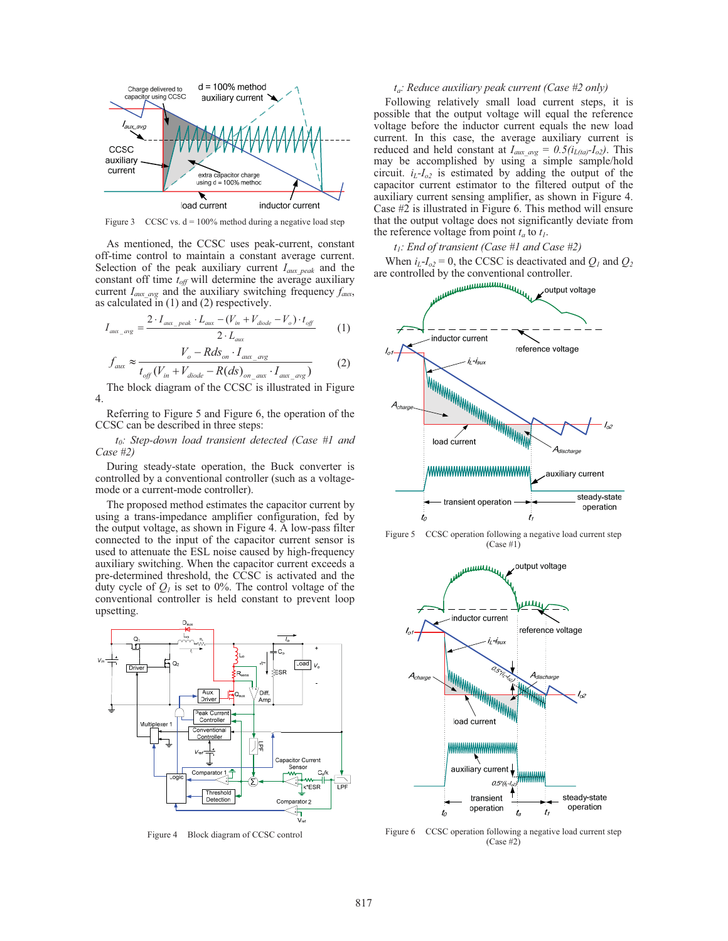

Figure 3 CCSC vs.  $d = 100\%$  method during a negative load step

As mentioned, the CCSC uses peak-current, constant off-time control to maintain a constant average current. Selection of the peak auxiliary current *Iaux\_peak* and the constant off time  $t_{off}$  will determine the average auxiliary current  $I_{aux\_avg}$  and the auxiliary switching frequency  $f_{aux}$ , as calculated in (1) and (2) respectively.

$$
I_{aux\_avg} = \frac{2 \cdot I_{aux\_peak} \cdot L_{aux} - (V_{in} + V_{diode} - V_o) \cdot t_{off}}{2 \cdot L_{aux}}
$$
(1)

$$
f_{aux} \approx \frac{V_o - R ds_{on} \cdot I_{aux\_avg}}{t_{off}(V_{in} + V_{diode} - R(ds)_{on\_aux} \cdot I_{aux\_avg})}
$$
(2)

The block diagram of the CCSC is illustrated in Figure 4.

Referring to Figure 5 and Figure 6, the operation of the CCSC can be described in three steps:

*t0: Step-down load transient detected (Case #1 and Case #2)* 

During steady-state operation, the Buck converter is controlled by a conventional controller (such as a voltagemode or a current-mode controller).

The proposed method estimates the capacitor current by using a trans-impedance amplifier configuration, fed by the output voltage, as shown in Figure 4. A low-pass filter connected to the input of the capacitor current sensor is used to attenuate the ESL noise caused by high-frequency auxiliary switching. When the capacitor current exceeds a pre-determined threshold, the CCSC is activated and the duty cycle of  $Q_l$  is set to 0%. The control voltage of the conventional controller is held constant to prevent loop upsetting.



Figure 4 Block diagram of CCSC control

# *ta: Reduce auxiliary peak current (Case #2 only)*

Following relatively small load current steps, it is possible that the output voltage will equal the reference voltage before the inductor current equals the new load current. In this case, the average auxiliary current is reduced and held constant at  $I_{aux\_avg} = 0.5(i_{L(ta)} - I_{o2})$ . This may be accomplished by using a simple sample/hold circuit.  $i_L - I_{o2}$  is estimated by adding the output of the capacitor current estimator to the filtered output of the auxiliary current sensing amplifier, as shown in Figure 4. Case #2 is illustrated in Figure 6. This method will ensure that the output voltage does not significantly deviate from the reference voltage from point  $t_a$  to  $t_l$ .

*t1: End of transient (Case #1 and Case #2)* 

When  $i_L - I_{02} = 0$ , the CCSC is deactivated and  $Q_1$  and  $Q_2$ 



Figure 5 CCSC operation following a negative load current step (Case #1)



Figure 6 CCSC operation following a negative load current step (Case #2)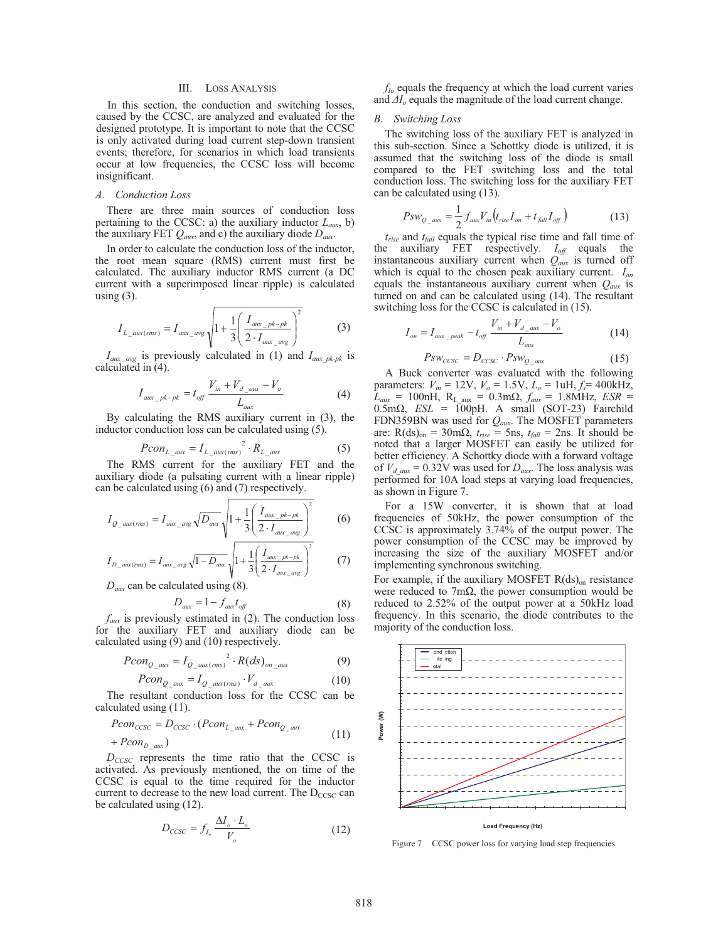## III. LOSS ANALYSIS

In this section, the conduction and switching losses, caused by the CCSC, are analyzed and evaluated for the designed prototype. It is important to note that the CCSC is only activated during load current step-down transient events; therefore, for scenarios in which load transients occur at low frequencies, the CCSC loss will become insignificant.

# *A. Conduction Loss*

There are three main sources of conduction loss pertaining to the CCSC: a) the auxiliary inductor *Laux*, b) the auxiliary FET *Qaux*, and c) the auxiliary diode *Daux*.

In order to calculate the conduction loss of the inductor, the root mean square (RMS) current must first be calculated. The auxiliary inductor RMS current (a DC current with a superimposed linear ripple) is calculated using  $(3)$ .

$$
I_{L_{\text{aux}(rms)}} = I_{\text{aux}_{\text{avg}}} \sqrt{1 + \frac{1}{3} \left( \frac{I_{\text{aux}_{\text{max}} - pk - pk}}{2 \cdot I_{\text{aux}_{\text{avg}}}} \right)^2}
$$
(3)

*Iaux\_avg* is previously calculated in (1) and *Iaux\_pk-pk* is calculated in (4).

$$
I_{aux\_pk-pk} = t_{off} \frac{V_{in} + V_{d\_aux} - V_o}{L_{aux}}
$$
 (4)

By calculating the RMS auxiliary current in (3), the inductor conduction loss can be calculated using (5).

$$
Pcon_{L\_aux} = I_{L\_aux(rms)}^2 \cdot R_{L\_aux}
$$
 (5)

The RMS current for the auxiliary FET and the auxiliary diode (a pulsating current with a linear ripple) can be calculated using (6) and (7) respectively.

$$
I_{Q_{\text{aux}(rms)}} = I_{\text{aux\_avg}} \sqrt{D_{\text{aux}}}\sqrt{1 + \frac{1}{3}\left(\frac{I_{\text{aux\_pk-pk}}}{2 \cdot I_{\text{aux\_avg}}}\right)^2}
$$
 (6)

$$
I_{D_{-aux(rms)}} = I_{aux_{-avg}} \sqrt{1 - D_{aux}} \sqrt{1 + \frac{1}{3} \left( \frac{I_{aux_{-pk-pk}}}{2 \cdot I_{aux_{-avg}}} \right)^2}
$$
(7)

*Daux* can be calculated using (8).

$$
D_{\text{aux}} = 1 - f_{\text{aux}} t_{\text{off}} \tag{8}
$$

*faux* is previously estimated in (2). The conduction loss for the auxiliary FET and auxiliary diode can be calculated using (9) and (10) respectively.

$$
Pcon_{Q_{a\alpha}} = I_{Q_{a\alpha}(\text{rms})}^{2} \cdot R(ds)_{on_{a\alpha}(\text{max})}
$$
(9)

$$
Pcon_{Q_{a\alpha x}} = I_{Q_{a\alpha x}(rms)} \cdot V_{d_{a\alpha x}}
$$
 (10)

The resultant conduction loss for the CCSC can be calculated using (11).

$$
Pcon_{CCSC} = D_{CCSC} \cdot (Pcon_{L\_aux} + Pcon_{Q\_aux}
$$
\n<sup>(11)</sup>

 $+ Pcon_{D_aux}$ 

*DCCSC* represents the time ratio that the CCSC is activated. As previously mentioned, the on time of the CCSC is equal to the time required for the inductor current to decrease to the new load current. The  $D_{\text{CCSC}}$  can be calculated using (12).

$$
D_{\text{CCSC}} = f_{I_o} \frac{\Delta I_o \cdot L_o}{V_o} \tag{12}
$$

*fIo* equals the frequency at which the load current varies and  $\Delta I_o$  equals the magnitude of the load current change.

## *B. Switching Loss*

The switching loss of the auxiliary FET is analyzed in this sub-section. Since a Schottky diode is utilized, it is assumed that the switching loss of the diode is small compared to the FET switching loss and the total conduction loss. The switching loss for the auxiliary FET can be calculated using (13).

$$
Psw_{Q\_aux} = \frac{1}{2} f_{aux} V_{in} \left( t_{rise} I_{on} + t_{fall} I_{off} \right)
$$
 (13)

*trise* and *tfall* equals the typical rise time and fall time of the auxiliary FET respectively. *Ioff* equals the instantaneous auxiliary current when  $Q_{aux}^{\sigma}$  is turned off which is equal to the chosen peak auxiliary current. *Ion* equals the instantaneous auxiliary current when *Qaux* is turned on and can be calculated using (14). The resultant switching loss for the CCSC is calculated in (15).

$$
I_{on} = I_{aux\_peak} - t_{off} \frac{V_{in} + V_{d\_aux} - V_o}{L_{aux}}
$$
 (14)

$$
Psw_{\text{CCSC}} = D_{\text{CCSC}} \cdot Psw_{Q\_aux} \tag{15}
$$

A Buck converter was evaluated with the following parameters:  $V_{in} = 12V$ ,  $V_o = 1.5V$ ,  $L_o = 1uH$ ,  $f_s = 400kHz$ ,  $L_{aux} = 100nH, R_{L{aux}} = 0.3m\Omega, f_{aux} = 1.8MHz, ESR =$  $0.5 \text{mA}$ ,  $ESL = 100 \text{pH}$ . A small (SOT-23) Fairchild FDN359BN was used for *Qaux*. The MOSFET parameters are:  $R(ds)_{\text{on}} = 30 \text{mA}$ ,  $t_{rise} = 5 \text{ns}$ ,  $t_{fall} = 2 \text{ns}$ . It should be noted that a larger MOSFET can easily be utilized for better efficiency. A Schottky diode with a forward voltage of  $V_{d\text{ aux}} = 0.32V$  was used for  $D_{aux}$ . The loss analysis was performed for 10A load steps at varying load frequencies, as shown in Figure 7.

For a 15W converter, it is shown that at load frequencies of 50kHz, the power consumption of the CCSC is approximately 3.74% of the output power. The power consumption of the CCSC may be improved by increasing the size of the auxiliary MOSFET and/or implementing synchronous switching.

For example, if the auxiliary MOSFET  $R(ds)_{on}$  resistance were reduced to  $7m\Omega$ , the power consumption would be reduced to 2.52% of the output power at a 50kHz load frequency. In this scenario, the diode contributes to the majority of the conduction loss.



Figure 7 CCSC power loss for varying load step frequencies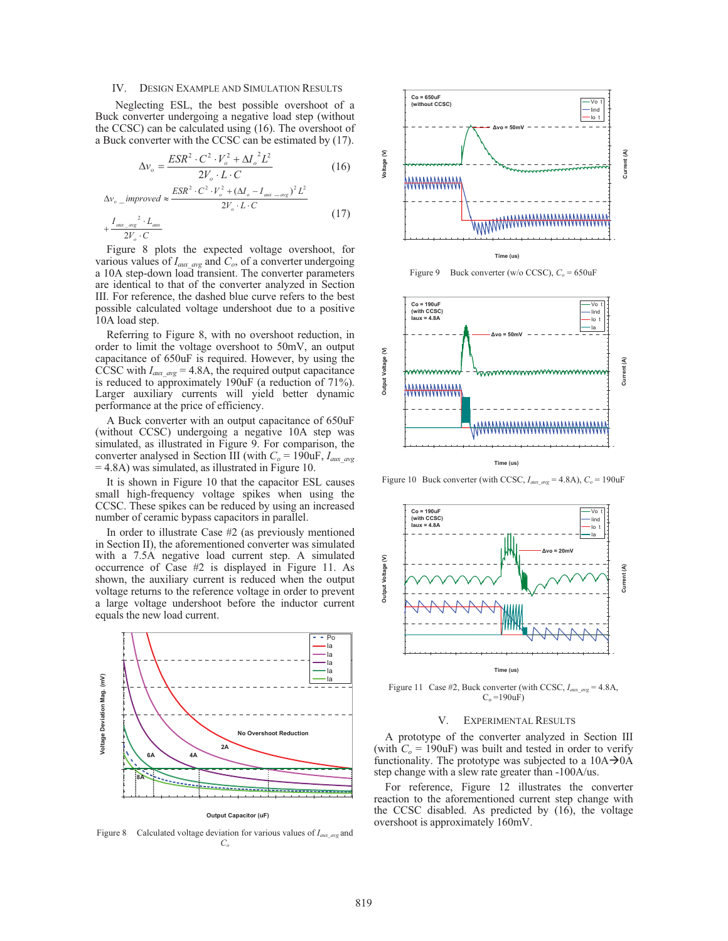## IV. DESIGN EXAMPLE AND SIMULATION RESULTS

Neglecting ESL, the best possible overshoot of a Buck converter undergoing a negative load step (without the CCSC) can be calculated using (16). The overshoot of a Buck converter with the CCSC can be estimated by (17).

$$
\Delta v_o = \frac{ESR^2 \cdot C^2 \cdot V_o^2 + \Delta I_o^2 L^2}{2V_o \cdot L \cdot C}
$$
 (16)

$$
\Delta v_o\_improved \approx \frac{ESR^2 \cdot C^2 \cdot V_o^2 + (\Delta I_o - I_{\text{aux\_avg}})^2 L^2}{2V_o \cdot L \cdot C}
$$

$$
+\frac{I_{\text{aux}\_\text{avg}}^2 \cdot L_{\text{aux}}}{2V_o \cdot C}
$$
\n(17)

Figure 8 plots the expected voltage overshoot, for various values of  $I_{aux\,avg}$  and  $C_o$ , of a converter undergoing a 10A step-down load transient. The converter parameters are identical to that of the converter analyzed in Section III. For reference, the dashed blue curve refers to the best possible calculated voltage undershoot due to a positive 10A load step.

Referring to Figure 8, with no overshoot reduction, in order to limit the voltage overshoot to 50mV, an output capacitance of 650uF is required. However, by using the CCSC with  $I_{aux\_avg} = 4.8$ A, the required output capacitance is reduced to approximately 190uF (a reduction of 71%). Larger auxiliary currents will yield better dynamic performance at the price of efficiency.

A Buck converter with an output capacitance of 650uF (without CCSC) undergoing a negative 10A step was simulated, as illustrated in Figure 9. For comparison, the converter analysed in Section III (with  $C_o = 190$ uF,  $I_{aux\_avg}$ = 4.8A) was simulated, as illustrated in Figure 10.

It is shown in Figure 10 that the capacitor ESL causes small high-frequency voltage spikes when using the CCSC. These spikes can be reduced by using an increased number of ceramic bypass capacitors in parallel.

In order to illustrate Case #2 (as previously mentioned in Section II), the aforementioned converter was simulated with a 7.5A negative load current step. A simulated occurrence of Case #2 is displayed in Figure 11. As shown, the auxiliary current is reduced when the output voltage returns to the reference voltage in order to prevent a large voltage undershoot before the inductor current equals the new load current.



**Output Capacitor (uF)**

Figure 8 Calculated voltage deviation for various values of  $I_{aux\,avg}$  and  $C<sub>o</sub>$ 



Figure 9 Buck converter (w/o CCSC),  $C_0 = 650$ uF



Figure 10 Buck converter (with CCSC,  $I_{aux\,avg} = 4.8$ A),  $C_0 = 190$ uF



Figure 11 Case #2, Buck converter (with CCSC, *Iaux\_avg* = 4.8A,  $C_0 = 190uF$ 

#### V. EXPERIMENTAL RESULTS

A prototype of the converter analyzed in Section III (with  $C<sub>o</sub> = 190uF$ ) was built and tested in order to verify functionality. The prototype was subjected to a  $10A \rightarrow 0A$ step change with a slew rate greater than -100A/us.

For reference, Figure 12 illustrates the converter reaction to the aforementioned current step change with the CCSC disabled. As predicted by (16), the voltage overshoot is approximately 160mV.